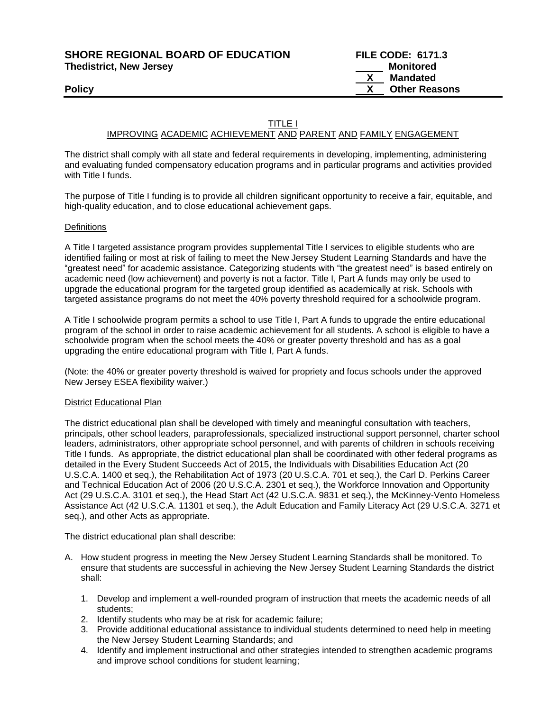**SHORE REGIONAL BOARD OF EDUCATION** 

| <b>SHORE REGIONAL BOARD OF EDUCATION</b> |           | <b>FILE CODE: 6171.3</b> |
|------------------------------------------|-----------|--------------------------|
| <b>Thedistrict, New Jersey</b>           | Monitored |                          |
|                                          |           | Mandated                 |
| Policy                                   |           | <b>Other Reasons</b>     |

# TITLE I

## IMPROVING ACADEMIC ACHIEVEMENT AND PARENT AND FAMILY ENGAGEMENT

The district shall comply with all state and federal requirements in developing, implementing, administering and evaluating funded compensatory education programs and in particular programs and activities provided with Title I funds.

The purpose of Title I funding is to provide all children significant opportunity to receive a fair, equitable, and high-quality education, and to close educational achievement gaps.

## **Definitions**

A Title I targeted assistance program provides supplemental Title I services to eligible students who are identified failing or most at risk of failing to meet the New Jersey Student Learning Standards and have the "greatest need" for academic assistance. Categorizing students with "the greatest need" is based entirely on academic need (low achievement) and poverty is not a factor. Title I, Part A funds may only be used to upgrade the educational program for the targeted group identified as academically at risk. Schools with targeted assistance programs do not meet the 40% poverty threshold required for a schoolwide program.

A Title I schoolwide program permits a school to use Title I, Part A funds to upgrade the entire educational program of the school in order to raise academic achievement for all students. A school is eligible to have a schoolwide program when the school meets the 40% or greater poverty threshold and has as a goal upgrading the entire educational program with Title I, Part A funds.

(Note: the 40% or greater poverty threshold is waived for propriety and focus schools under the approved New Jersey ESEA flexibility waiver.)

#### District Educational Plan

The district educational plan shall be developed with timely and meaningful consultation with teachers, principals, other school leaders, paraprofessionals, specialized instructional support personnel, charter school leaders, administrators, other appropriate school personnel, and with parents of children in schools receiving Title I funds. As appropriate, the district educational plan shall be coordinated with other federal programs as detailed in the Every Student Succeeds Act of 2015, the Individuals with Disabilities Education Act (20 U.S.C.A. 1400 et seq.), the Rehabilitation Act of 1973 (20 U.S.C.A. 701 et seq.), the Carl D. Perkins Career and Technical Education Act of 2006 (20 U.S.C.A. 2301 et seq.), the Workforce Innovation and Opportunity Act (29 U.S.C.A. 3101 et seq.), the Head Start Act (42 U.S.C.A. 9831 et seq.), the McKinney-Vento Homeless Assistance Act (42 U.S.C.A. 11301 et seq.), the Adult Education and Family Literacy Act (29 U.S.C.A. 3271 et seq.), and other Acts as appropriate.

The district educational plan shall describe:

- A. How student progress in meeting the New Jersey Student Learning Standards shall be monitored. To ensure that students are successful in achieving the New Jersey Student Learning Standards the district shall:
	- 1. Develop and implement a well-rounded program of instruction that meets the academic needs of all students;
	- 2. Identify students who may be at risk for academic failure;
	- 3. Provide additional educational assistance to individual students determined to need help in meeting the New Jersey Student Learning Standards; and
	- 4. Identify and implement instructional and other strategies intended to strengthen academic programs and improve school conditions for student learning;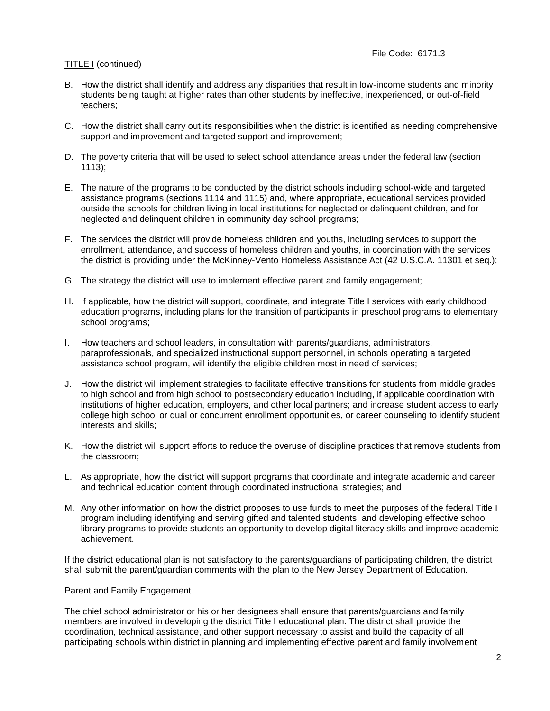## File Code: 6171.3

# TITLE I (continued)

- B. How the district shall identify and address any disparities that result in low-income students and minority students being taught at higher rates than other students by ineffective, inexperienced, or out-of-field teachers;
- C. How the district shall carry out its responsibilities when the district is identified as needing comprehensive support and improvement and targeted support and improvement;
- D. The poverty criteria that will be used to select school attendance areas under the federal law (section 1113);
- E. The nature of the programs to be conducted by the district schools including school-wide and targeted assistance programs (sections 1114 and 1115) and, where appropriate, educational services provided outside the schools for children living in local institutions for neglected or delinquent children, and for neglected and delinquent children in community day school programs;
- F. The services the district will provide homeless children and youths, including services to support the enrollment, attendance, and success of homeless children and youths, in coordination with the services the district is providing under the McKinney-Vento Homeless Assistance Act (42 U.S.C.A. 11301 et seq.);
- G. The strategy the district will use to implement effective parent and family engagement;
- H. If applicable, how the district will support, coordinate, and integrate Title I services with early childhood education programs, including plans for the transition of participants in preschool programs to elementary school programs;
- I. How teachers and school leaders, in consultation with parents/guardians, administrators, paraprofessionals, and specialized instructional support personnel, in schools operating a targeted assistance school program, will identify the eligible children most in need of services;
- J. How the district will implement strategies to facilitate effective transitions for students from middle grades to high school and from high school to postsecondary education including, if applicable coordination with institutions of higher education, employers, and other local partners; and increase student access to early college high school or dual or concurrent enrollment opportunities, or career counseling to identify student interests and skills;
- K. How the district will support efforts to reduce the overuse of discipline practices that remove students from the classroom;
- L. As appropriate, how the district will support programs that coordinate and integrate academic and career and technical education content through coordinated instructional strategies; and
- M. Any other information on how the district proposes to use funds to meet the purposes of the federal Title I program including identifying and serving gifted and talented students; and developing effective school library programs to provide students an opportunity to develop digital literacy skills and improve academic achievement.

If the district educational plan is not satisfactory to the parents/guardians of participating children, the district shall submit the parent/guardian comments with the plan to the New Jersey Department of Education.

#### Parent and Family Engagement

The chief school administrator or his or her designees shall ensure that parents/guardians and family members are involved in developing the district Title I educational plan. The district shall provide the coordination, technical assistance, and other support necessary to assist and build the capacity of all participating schools within district in planning and implementing effective parent and family involvement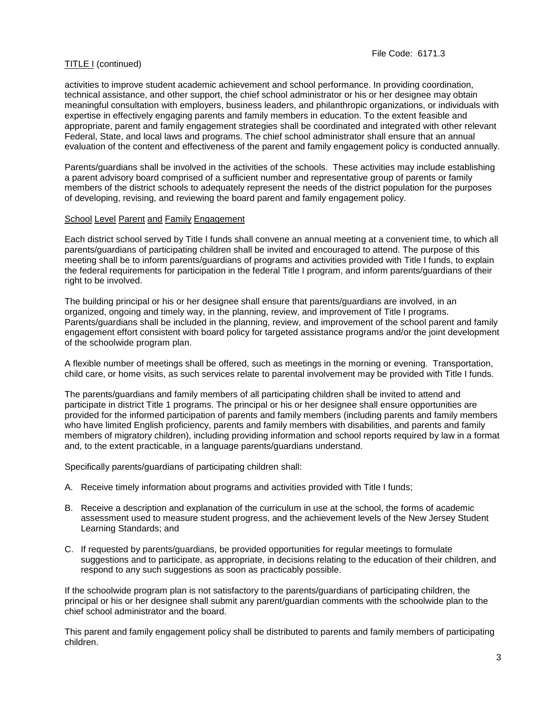activities to improve student academic achievement and school performance. In providing coordination, technical assistance, and other support, the chief school administrator or his or her designee may obtain meaningful consultation with employers, business leaders, and philanthropic organizations, or individuals with expertise in effectively engaging parents and family members in education. To the extent feasible and appropriate, parent and family engagement strategies shall be coordinated and integrated with other relevant Federal, State, and local laws and programs. The chief school administrator shall ensure that an annual evaluation of the content and effectiveness of the parent and family engagement policy is conducted annually.

Parents/guardians shall be involved in the activities of the schools. These activities may include establishing a parent advisory board comprised of a sufficient number and representative group of parents or family members of the district schools to adequately represent the needs of the district population for the purposes of developing, revising, and reviewing the board parent and family engagement policy.

# School Level Parent and Family Engagement

Each district school served by Title I funds shall convene an annual meeting at a convenient time, to which all parents/guardians of participating children shall be invited and encouraged to attend. The purpose of this meeting shall be to inform parents/guardians of programs and activities provided with Title I funds, to explain the federal requirements for participation in the federal Title I program, and inform parents/guardians of their right to be involved.

The building principal or his or her designee shall ensure that parents/guardians are involved, in an organized, ongoing and timely way, in the planning, review, and improvement of Title I programs. Parents/guardians shall be included in the planning, review, and improvement of the school parent and family engagement effort consistent with board policy for targeted assistance programs and/or the joint development of the schoolwide program plan.

A flexible number of meetings shall be offered, such as meetings in the morning or evening. Transportation, child care, or home visits, as such services relate to parental involvement may be provided with Title I funds.

The parents/guardians and family members of all participating children shall be invited to attend and participate in district Title 1 programs. The principal or his or her designee shall ensure opportunities are provided for the informed participation of parents and family members (including parents and family members who have limited English proficiency, parents and family members with disabilities, and parents and family members of migratory children), including providing information and school reports required by law in a format and, to the extent practicable, in a language parents/guardians understand.

Specifically parents/guardians of participating children shall:

- A. Receive timely information about programs and activities provided with Title I funds;
- B. Receive a description and explanation of the curriculum in use at the school, the forms of academic assessment used to measure student progress, and the achievement levels of the New Jersey Student Learning Standards; and
- C. If requested by parents/guardians, be provided opportunities for regular meetings to formulate suggestions and to participate, as appropriate, in decisions relating to the education of their children, and respond to any such suggestions as soon as practicably possible.

If the schoolwide program plan is not satisfactory to the parents/guardians of participating children, the principal or his or her designee shall submit any parent/guardian comments with the schoolwide plan to the chief school administrator and the board.

This parent and family engagement policy shall be distributed to parents and family members of participating children.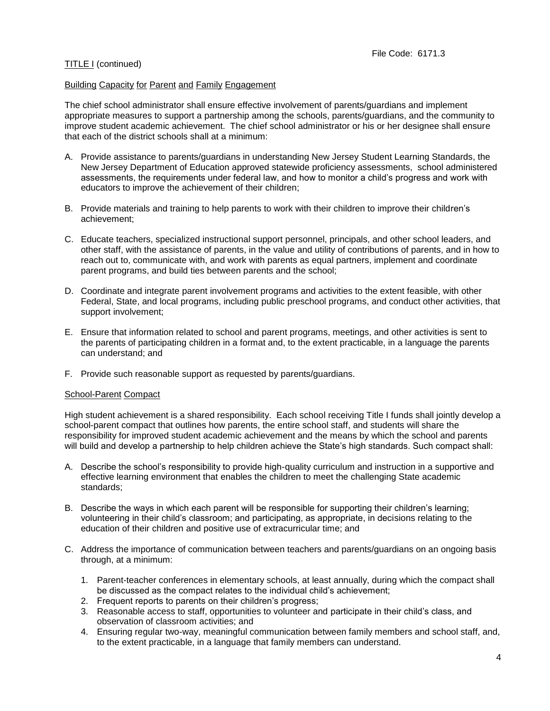# Building Capacity for Parent and Family Engagement

The chief school administrator shall ensure effective involvement of parents/guardians and implement appropriate measures to support a partnership among the schools, parents/guardians, and the community to improve student academic achievement. The chief school administrator or his or her designee shall ensure that each of the district schools shall at a minimum:

- A. Provide assistance to parents/guardians in understanding New Jersey Student Learning Standards, the New Jersey Department of Education approved statewide proficiency assessments, school administered assessments, the requirements under federal law, and how to monitor a child's progress and work with educators to improve the achievement of their children;
- B. Provide materials and training to help parents to work with their children to improve their children's achievement;
- C. Educate teachers, specialized instructional support personnel, principals, and other school leaders, and other staff, with the assistance of parents, in the value and utility of contributions of parents, and in how to reach out to, communicate with, and work with parents as equal partners, implement and coordinate parent programs, and build ties between parents and the school;
- D. Coordinate and integrate parent involvement programs and activities to the extent feasible, with other Federal, State, and local programs, including public preschool programs, and conduct other activities, that support involvement;
- E. Ensure that information related to school and parent programs, meetings, and other activities is sent to the parents of participating children in a format and, to the extent practicable, in a language the parents can understand; and
- F. Provide such reasonable support as requested by parents/guardians.

#### School-Parent Compact

High student achievement is a shared responsibility. Each school receiving Title I funds shall jointly develop a school-parent compact that outlines how parents, the entire school staff, and students will share the responsibility for improved student academic achievement and the means by which the school and parents will build and develop a partnership to help children achieve the State's high standards. Such compact shall:

- A. Describe the school's responsibility to provide high-quality curriculum and instruction in a supportive and effective learning environment that enables the children to meet the challenging State academic standards;
- B. Describe the ways in which each parent will be responsible for supporting their children's learning; volunteering in their child's classroom; and participating, as appropriate, in decisions relating to the education of their children and positive use of extracurricular time; and
- C. Address the importance of communication between teachers and parents/guardians on an ongoing basis through, at a minimum:
	- 1. Parent-teacher conferences in elementary schools, at least annually, during which the compact shall be discussed as the compact relates to the individual child's achievement;
	- 2. Frequent reports to parents on their children's progress;
	- 3. Reasonable access to staff, opportunities to volunteer and participate in their child's class, and observation of classroom activities; and
	- 4. Ensuring regular two-way, meaningful communication between family members and school staff, and, to the extent practicable, in a language that family members can understand.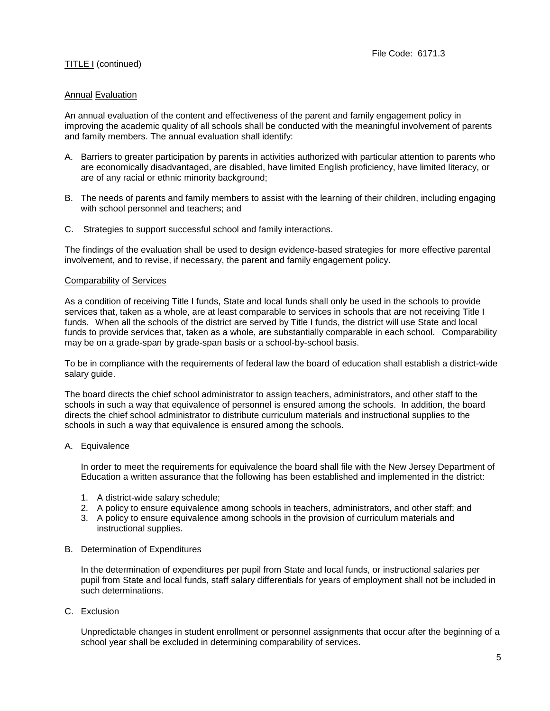## Annual Evaluation

An annual evaluation of the content and effectiveness of the parent and family engagement policy in improving the academic quality of all schools shall be conducted with the meaningful involvement of parents and family members. The annual evaluation shall identify:

- A. Barriers to greater participation by parents in activities authorized with particular attention to parents who are economically disadvantaged, are disabled, have limited English proficiency, have limited literacy, or are of any racial or ethnic minority background;
- B. The needs of parents and family members to assist with the learning of their children, including engaging with school personnel and teachers; and
- C. Strategies to support successful school and family interactions.

The findings of the evaluation shall be used to design evidence-based strategies for more effective parental involvement, and to revise, if necessary, the parent and family engagement policy.

#### Comparability of Services

As a condition of receiving Title I funds, State and local funds shall only be used in the schools to provide services that, taken as a whole, are at least comparable to services in schools that are not receiving Title I funds. When all the schools of the district are served by Title I funds, the district will use State and local funds to provide services that, taken as a whole, are substantially comparable in each school. Comparability may be on a grade-span by grade-span basis or a school-by-school basis.

To be in compliance with the requirements of federal law the board of education shall establish a district-wide salary guide.

The board directs the chief school administrator to assign teachers, administrators, and other staff to the schools in such a way that equivalence of personnel is ensured among the schools. In addition, the board directs the chief school administrator to distribute curriculum materials and instructional supplies to the schools in such a way that equivalence is ensured among the schools.

#### A. Equivalence

In order to meet the requirements for equivalence the board shall file with the New Jersey Department of Education a written assurance that the following has been established and implemented in the district:

- 1. A district-wide salary schedule;
- 2. A policy to ensure equivalence among schools in teachers, administrators, and other staff; and
- 3. A policy to ensure equivalence among schools in the provision of curriculum materials and instructional supplies.

#### B. Determination of Expenditures

In the determination of expenditures per pupil from State and local funds, or instructional salaries per pupil from State and local funds, staff salary differentials for years of employment shall not be included in such determinations.

C. Exclusion

Unpredictable changes in student enrollment or personnel assignments that occur after the beginning of a school year shall be excluded in determining comparability of services.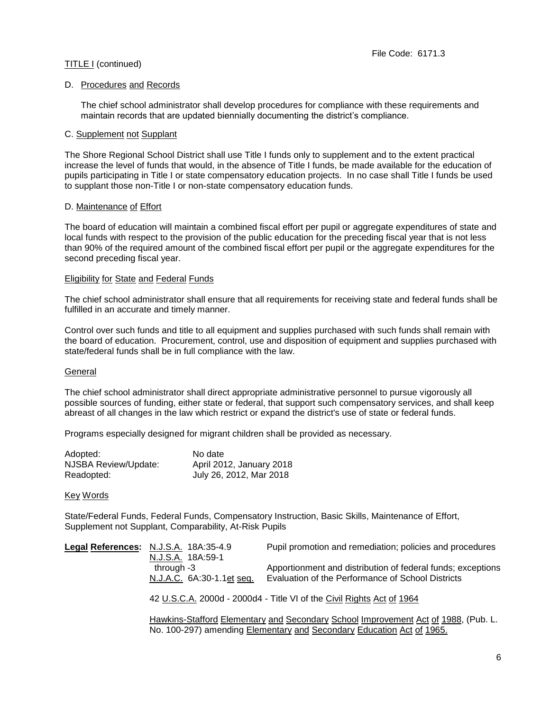## D. Procedures and Records

The chief school administrator shall develop procedures for compliance with these requirements and maintain records that are updated biennially documenting the district's compliance.

### C. Supplement not Supplant

The Shore Regional School District shall use Title I funds only to supplement and to the extent practical increase the level of funds that would, in the absence of Title I funds, be made available for the education of pupils participating in Title I or state compensatory education projects. In no case shall Title I funds be used to supplant those non-Title I or non-state compensatory education funds.

## D. Maintenance of Effort

The board of education will maintain a combined fiscal effort per pupil or aggregate expenditures of state and local funds with respect to the provision of the public education for the preceding fiscal year that is not less than 90% of the required amount of the combined fiscal effort per pupil or the aggregate expenditures for the second preceding fiscal year.

## Eligibility for State and Federal Funds

The chief school administrator shall ensure that all requirements for receiving state and federal funds shall be fulfilled in an accurate and timely manner.

Control over such funds and title to all equipment and supplies purchased with such funds shall remain with the board of education. Procurement, control, use and disposition of equipment and supplies purchased with state/federal funds shall be in full compliance with the law.

#### General

The chief school administrator shall direct appropriate administrative personnel to pursue vigorously all possible sources of funding, either state or federal, that support such compensatory services, and shall keep abreast of all changes in the law which restrict or expand the district's use of state or federal funds.

Programs especially designed for migrant children shall be provided as necessary.

| Adopted:             | No date                  |
|----------------------|--------------------------|
| NJSBA Review/Update: | April 2012, January 2018 |
| Readopted:           | July 26, 2012, Mar 2018  |

#### Key Words

State/Federal Funds, Federal Funds, Compensatory Instruction, Basic Skills, Maintenance of Effort, Supplement not Supplant, Comparability, At-Risk Pupils

|                                                                       | Legal References: N.J.S.A. 18A:35-4.9 | Pupil promotion and remediation; policies and procedures                         |
|-----------------------------------------------------------------------|---------------------------------------|----------------------------------------------------------------------------------|
|                                                                       | N.J.S.A. 18A:59-1                     |                                                                                  |
|                                                                       | through -3                            | Apportionment and distribution of federal funds; exceptions                      |
|                                                                       | N.J.A.C. 6A:30-1.1et seq.             | Evaluation of the Performance of School Districts                                |
|                                                                       |                                       |                                                                                  |
| 42 U.S.C.A. 2000d - 2000d4 - Title VI of the Civil Rights Act of 1964 |                                       |                                                                                  |
|                                                                       |                                       | Hawking-Stafford Elementary and Secondary School Improvement Act of 1988 (Pub I) |

<u>Hawkins-Stafford Elementary and Secondary School Improvement Act of 1988,</u> (Pub. L. No. 100-297) amending Elementary and Secondary Education Act of 1965.